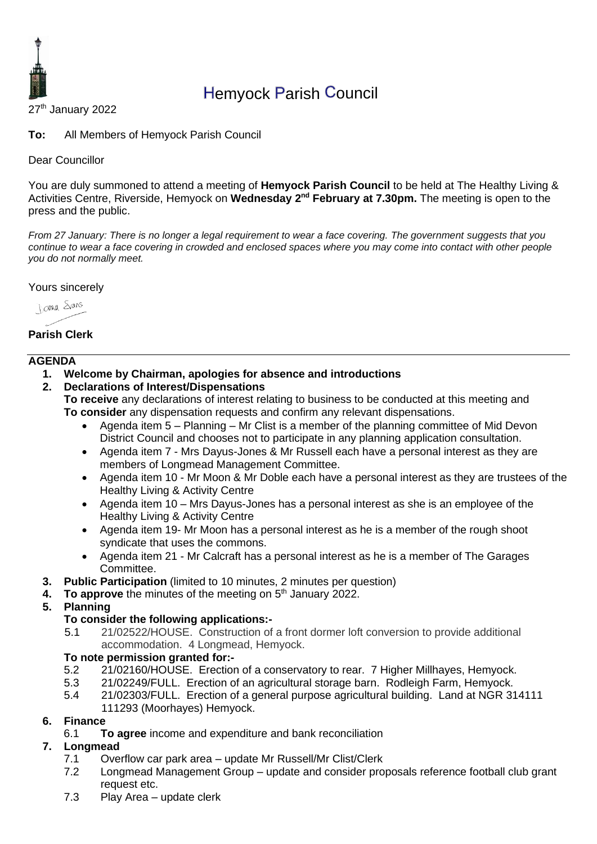

# Hemyock Parish Council

27<sup>th</sup> January 2022

**To:** All Members of Hemyock Parish Council

Dear Councillor

You are duly summoned to attend a meeting of **Hemyock Parish Council** to be held at The Healthy Living & Activities Centre, Riverside, Hemyock on Wednesday 2<sup>nd</sup> February at 7.30pm. The meeting is open to the press and the public.

*From 27 January: There is no longer a legal requirement to wear a face covering. The government suggests that you continue to wear a face covering in crowded and enclosed spaces where you may come into contact with other people you do not normally meet.* 

Yours sincerely

Jame Stans

# **Parish Clerk**

### **AGENDA**

- **1. Welcome by Chairman, apologies for absence and introductions**
- **2. Declarations of Interest/Dispensations**

**To receive** any declarations of interest relating to business to be conducted at this meeting and **To consider** any dispensation requests and confirm any relevant dispensations.

- Agenda item 5 Planning Mr Clist is a member of the planning committee of Mid Devon District Council and chooses not to participate in any planning application consultation.
- Agenda item 7 Mrs Dayus-Jones & Mr Russell each have a personal interest as they are members of Longmead Management Committee.
- Agenda item 10 Mr Moon & Mr Doble each have a personal interest as they are trustees of the Healthy Living & Activity Centre
- Agenda item 10 Mrs Dayus-Jones has a personal interest as she is an employee of the Healthy Living & Activity Centre
- Agenda item 19- Mr Moon has a personal interest as he is a member of the rough shoot syndicate that uses the commons.
- Agenda item 21 Mr Calcraft has a personal interest as he is a member of The Garages Committee.
- **3. Public Participation** (limited to 10 minutes, 2 minutes per question)
- **4.** To approve the minutes of the meeting on 5<sup>th</sup> January 2022.
- **5. Planning**

### **To consider the following applications:-**

5.1 21/02522/HOUSE. Construction of a front dormer loft conversion to provide additional accommodation. 4 Longmead, Hemyock.

### **To note permission granted for:-**

- 5.2 21/02160/HOUSE. Erection of a conservatory to rear. 7 Higher Millhayes, Hemyock.
- 5.3 21/02249/FULL. Erection of an agricultural storage barn. Rodleigh Farm, Hemyock.
- 5.4 21/02303/FULL. Erection of a general purpose agricultural building. Land at NGR 314111

111293 (Moorhayes) Hemyock.

### **6. Finance**

6.1 **To agree** income and expenditure and bank reconciliation

### **7. Longmead**

- 7.1 Overflow car park area update Mr Russell/Mr Clist/Clerk
- 7.2 Longmead Management Group update and consider proposals reference football club grant request etc.
- 7.3 Play Area update clerk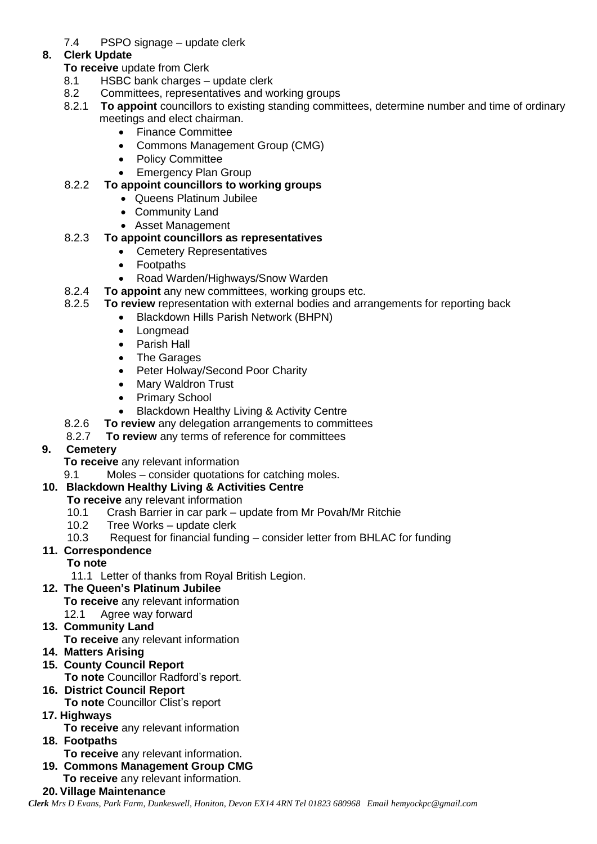7.4 PSPO signage – update clerk

# **8. Clerk Update**

- **To receive** update from Clerk
- 8.1 HSBC bank charges update clerk
- 8.2 Committees, representatives and working groups<br>8.2.1 To appoint councillors to existing standing comm
- 8.2.1 **To appoint** councillors to existing standing committees, determine number and time of ordinary meetings and elect chairman.
	- Finance Committee
	- Commons Management Group (CMG)
	- Policy Committee
	- Emergency Plan Group

# 8.2.2 **To appoint councillors to working groups**

- Queens Platinum Jubilee
- Community Land
- Asset Management

# 8.2.3 **To appoint councillors as representatives**

- Cemetery Representatives
- Footpaths
- Road Warden/Highways/Snow Warden
- 8.2.4 **To appoint** any new committees, working groups etc.
- 8.2.5 **To review** representation with external bodies and arrangements for reporting back
	- Blackdown Hills Parish Network (BHPN)
	- Longmead
	- Parish Hall
	- The Garages
	- Peter Holway/Second Poor Charity
	- Mary Waldron Trust
	- Primary School
	- Blackdown Healthy Living & Activity Centre
- 8.2.6 **To review** any delegation arrangements to committees
- 8.2.7 **To review** any terms of reference for committees

# **9. Cemetery**

- **To receive** any relevant information
- 9.1 Moles consider quotations for catching moles.

# **10. Blackdown Healthy Living & Activities Centre**

- **To receive** any relevant information
	- 10.1 Crash Barrier in car park update from Mr Povah/Mr Ritchie
	- 10.2 Tree Works update clerk
	- 10.3 Request for financial funding consider letter from BHLAC for funding

# **11. Correspondence**

- **To note**
- 11.1 Letter of thanks from Royal British Legion.

# **12. The Queen's Platinum Jubilee**

- **To receive** any relevant information
- 12.1 Agree way forward

# **13. Community Land**

**To receive** any relevant information

- **14. Matters Arising**
- **15. County Council Report**
	- **To note** Councillor Radford's report.
- **16. District Council Report**
	- **To note** Councillor Clist's report
- **17. Highways**

**To receive** any relevant information

- **18. Footpaths**
	- **To receive** any relevant information.
- **19. Commons Management Group CMG**
	- **To receive** any relevant information.

### **20. Village Maintenance**

*Clerk Mrs D Evans, Park Farm, Dunkeswell, Honiton, Devon EX14 4RN Tel 01823 680968 Email hemyockpc@gmail.com*